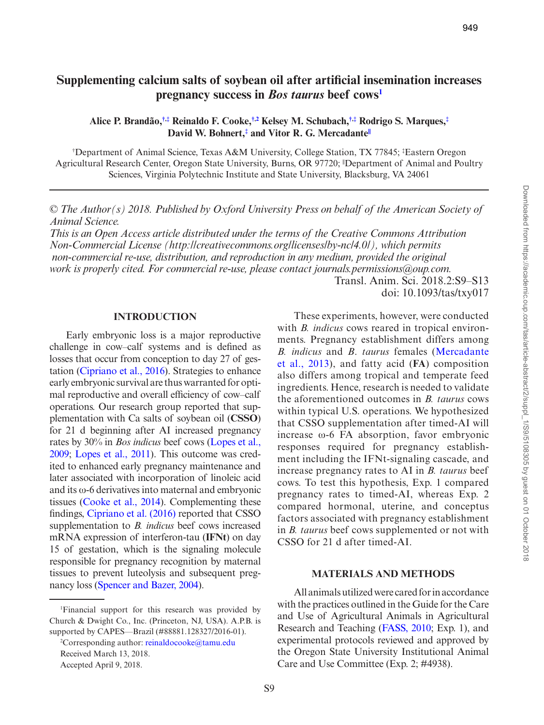# **Supplementing calcium salts of soybean oil after artificial insemination increases pregnancy success in** *Bos taurus* **beef cows[1](#page-0-0)**

<span id="page-0-2"></span><span id="page-0-1"></span>**Alice P. Brandão,[†](#page-0-1),[‡](#page-0-2) Reinaldo F. Cooke,[†](#page-0-1),[2](#page-0-3) Kelsey M. Schubach,[†](#page-0-1),[‡](#page-0-2) Rodrigo S. Marques,[‡](#page-0-2) David W. Bohnert,[‡](#page-0-2) and Vitor R. G. Mercadant[e||](#page-0-1)**

† Department of Animal Science, Texas A&M University, College Station, TX 77845; ‡ Eastern Oregon Agricultural Research Center, Oregon State University, Burns, OR 97720; <sup>I</sup>Department of Animal and Poultry Sciences, Virginia Polytechnic Institute and State University, Blacksburg, VA 24061

*© The Author(s) 2018. Published by Oxford University Press on behalf of the American Society of Animal Science.* 

*This is an Open Access article distributed under the terms of the Creative Commons Attribution Non-Commercial License (http://creativecommons.org/licenses/by-nc/4.0/), which permits non-commercial re-use, distribution, and reproduction in any medium, provided the original work is properly cited. For commercial re-use, please contact journals.permissions@oup.com.*

Transl. Anim. Sci. 2018.2:S9–S13 doi: 10.1093/tas/txy017

#### **INTRODUCTION**

Early embryonic loss is a major reproductive challenge in cow–calf systems and is defined as losses that occur from conception to day 27 of gestation [\(Cipriano et al., 2016\)](#page-4-0). Strategies to enhance early embryonic survival are thus warranted for optimal reproductive and overall efficiency of cow–calf operations. Our research group reported that supplementation with Ca salts of soybean oil (**CSSO**) for 21 d beginning after AI increased pregnancy rates by 30% in *Bos indicus* beef cows [\(Lopes et al.,](#page-4-1)  [2009](#page-4-1); [Lopes et al., 2011](#page-4-2)). This outcome was credited to enhanced early pregnancy maintenance and later associated with incorporation of linoleic acid and its ω-6 derivatives into maternal and embryonic tissues [\(Cooke et al., 2014](#page-4-3)). Complementing these findings, [Cipriano et al. \(2016\)](#page-4-0) reported that CSSO supplementation to *B. indicus* beef cows increased mRNA expression of interferon-tau (**IFNt**) on day 15 of gestation, which is the signaling molecule responsible for pregnancy recognition by maternal tissues to prevent luteolysis and subsequent pregnancy loss ([Spencer and Bazer, 2004](#page-4-4)).

These experiments, however, were conducted with *B. indicus* cows reared in tropical environments. Pregnancy establishment differs among *B. indicus* and *B*. *taurus* females ([Mercadante](#page-4-5) [et al., 2013\)](#page-4-5), and fatty acid (**FA**) composition also differs among tropical and temperate feed ingredients. Hence, research is needed to validate the aforementioned outcomes in *B. taurus* cows within typical U.S. operations. We hypothesized that CSSO supplementation after timed-AI will increase ω-6 FA absorption, favor embryonic responses required for pregnancy establishment including the IFNt-signaling cascade, and increase pregnancy rates to AI in *B. taurus* beef cows. To test this hypothesis, Exp. 1 compared pregnancy rates to timed-AI, whereas Exp. 2 compared hormonal, uterine, and conceptus factors associated with pregnancy establishment in *B. taurus* beef cows supplemented or not with CSSO for 21 d after timed-AI.

## **MATERIALS AND METHODS**

All animals utilized were cared for in accordance with the practices outlined in the Guide for the Care and Use of Agricultural Animals in Agricultural Research and Teaching [\(FASS, 2010;](#page-4-6) Exp. 1), and experimental protocols reviewed and approved by the Oregon State University Institutional Animal Care and Use Committee (Exp. 2; #4938).

<span id="page-0-0"></span><sup>1</sup> Financial support for this research was provided by Church & Dwight Co., Inc. (Princeton, NJ, USA). A.P.B. is supported by CAPES—Brazil (#88881.128327/2016-01).

<span id="page-0-3"></span><sup>&</sup>lt;sup>2</sup>Corresponding author: [reinaldocooke@tamu.edu](mailto:reinaldocooke@tamu.edu?subject=) Received March 13, 2018. Accepted April 9, 2018.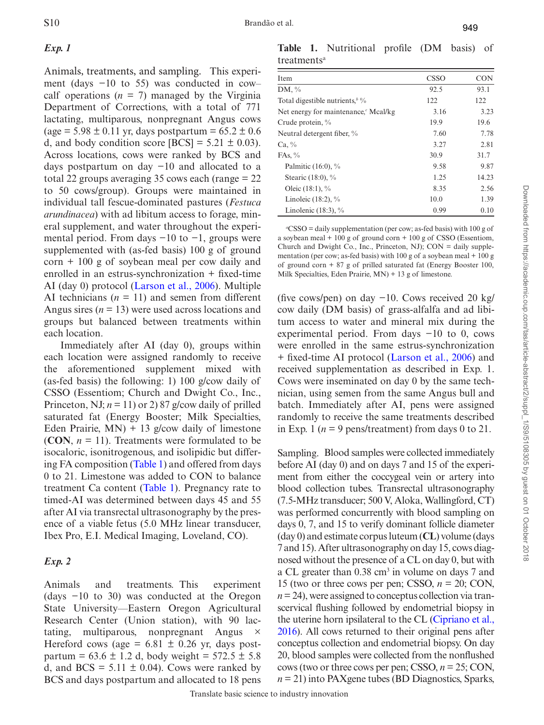## *Exp. 1*

Animals, treatments, and sampling. This experiment (days −10 to 55) was conducted in cow– calf operations  $(n = 7)$  managed by the Virginia Department of Corrections, with a total of 771 lactating, multiparous, nonpregnant Angus cows  $(age = 5.98 \pm 0.11 \text{ yr}, days postpartum = 65.2 \pm 0.6$ d, and body condition score  $[BCS] = 5.21 \pm 0.03$ . Across locations, cows were ranked by BCS and days postpartum on day −10 and allocated to a total 22 groups averaging 35 cows each (range = 22 to 50 cows/group). Groups were maintained in individual tall fescue-dominated pastures (*Festuca arundinacea*) with ad libitum access to forage, mineral supplement, and water throughout the experimental period. From days  $-10$  to  $-1$ , groups were supplemented with (as-fed basis) 100 g of ground  $corn + 100 g of soybean meal per cow daily and$ enrolled in an estrus-synchronization + fixed-time AI (day 0) protocol [\(Larson et al., 2006\)](#page-4-7). Multiple AI technicians  $(n = 11)$  and semen from different Angus sires  $(n = 13)$  were used across locations and groups but balanced between treatments within each location.

Immediately after AI (day 0), groups within each location were assigned randomly to receive the aforementioned supplement mixed with (as-fed basis) the following: 1) 100 g/cow daily of CSSO (Essentiom; Church and Dwight Co., Inc., Princeton, NJ;  $n = 11$ ) or 2) 87 g/cow daily of prilled saturated fat (Energy Booster; Milk Specialties, Eden Prairie,  $MN$ ) + 13 g/cow daily of limestone (**CON**,  $n = 11$ ). Treatments were formulated to be isocaloric, isonitrogenous, and isolipidic but differing FA composition ([Table 1\)](#page-1-0) and offered from days 0 to 21. Limestone was added to CON to balance treatment Ca content [\(Table 1\)](#page-1-0). Pregnancy rate to timed-AI was determined between days 45 and 55 after AI via transrectal ultrasonography by the presence of a viable fetus (5.0 MHz linear transducer, Ibex Pro, E.I. Medical Imaging, Loveland, CO).

## *Exp. 2*

Animals and treatments. This experiment (days −10 to 30) was conducted at the Oregon State University—Eastern Oregon Agricultural Research Center (Union station), with 90 lactating, multiparous, nonpregnant Angus × Hereford cows (age =  $6.81 \pm 0.26$  yr, days postpartum =  $63.6 \pm 1.2$  d, body weight =  $572.5 \pm 5.8$ d, and  $BCS = 5.11 \pm 0.04$ ). Cows were ranked by BCS and days postpartum and allocated to 18 pens

<span id="page-1-0"></span>**Table 1.** Nutritional profile (DM basis) of treatments<sup>a</sup>

| Item                                           | <b>CSSO</b> | <b>CON</b> |
|------------------------------------------------|-------------|------------|
| DM, $\%$                                       | 92.5        | 93.1       |
| Total digestible nutrients, $\frac{b}{b}$ %    | 122         | 122        |
| Net energy for maintenance, $\epsilon$ Mcal/kg | 3.16        | 3.23       |
| Crude protein, %                               | 19.9        | 19.6       |
| Neutral detergent fiber, %                     | 7.60        | 7.78       |
| $Ca, \%$                                       | 3.27        | 2.81       |
| FAs, $\%$                                      | 30.9        | 31.7       |
| Palmitic $(16:0)$ , %                          | 9.58        | 9.87       |
| Stearic (18:0), %                              | 1.25        | 14.23      |
| Oleic $(18:1)$ , %                             | 8.35        | 2.56       |
| Linoleic $(18:2)$ , %                          | 10.0        | 1.39       |
| Linolenic $(18:3)$ , %                         | 0.99        | 0.10       |

*a* CSSO = daily supplementation (per cow; as-fed basis) with 100 g of a soybean meal + 100 g of ground corn + 100 g of CSSO (Essentiom, Church and Dwight Co., Inc., Princeton, NJ);  $CON = daily supp$ mentation (per cow; as-fed basis) with 100 g of a soybean meal + 100 g of ground corn + 87 g of prilled saturated fat (Energy Booster 100, Milk Specialties, Eden Prairie, MN) + 13 g of limestone.

(five cows/pen) on day −10. Cows received 20 kg/ cow daily (DM basis) of grass-alfalfa and ad libitum access to water and mineral mix during the experimental period. From days −10 to 0, cows were enrolled in the same estrus-synchronization + fixed-time AI protocol ([Larson et al., 2006](#page-4-7)) and received supplementation as described in Exp. 1. Cows were inseminated on day 0 by the same technician, using semen from the same Angus bull and batch. Immediately after AI, pens were assigned randomly to receive the same treatments described in Exp. 1 ( $n = 9$  pens/treatment) from days 0 to 21.

Sampling. Blood samples were collected immediately before AI (day 0) and on days 7 and 15 of the experiment from either the coccygeal vein or artery into blood collection tubes. Transrectal ultrasonography (7.5-MHz transducer; 500 V, Aloka, Wallingford, CT) was performed concurrently with blood sampling on days 0, 7, and 15 to verify dominant follicle diameter (day 0) and estimate corpus luteum (**CL**) volume (days 7 and 15). After ultrasonography on day 15, cows diagnosed without the presence of a CL on day 0, but with a CL greater than  $0.38 \text{ cm}^3$  in volume on days 7 and 15 (two or three cows per pen; CSSO,  $n = 20$ ; CON,  $n = 24$ , were assigned to conceptus collection via transcervical flushing followed by endometrial biopsy in the uterine horn ipsilateral to the CL [\(Cipriano et al.,](#page-4-0)  [2016](#page-4-0)). All cows returned to their original pens after conceptus collection and endometrial biopsy. On day 20, blood samples were collected from the nonflushed cows (two or three cows per pen; CSSO, *n* = 25; CON, *n* = 21) into PAXgene tubes (BD Diagnostics, Sparks,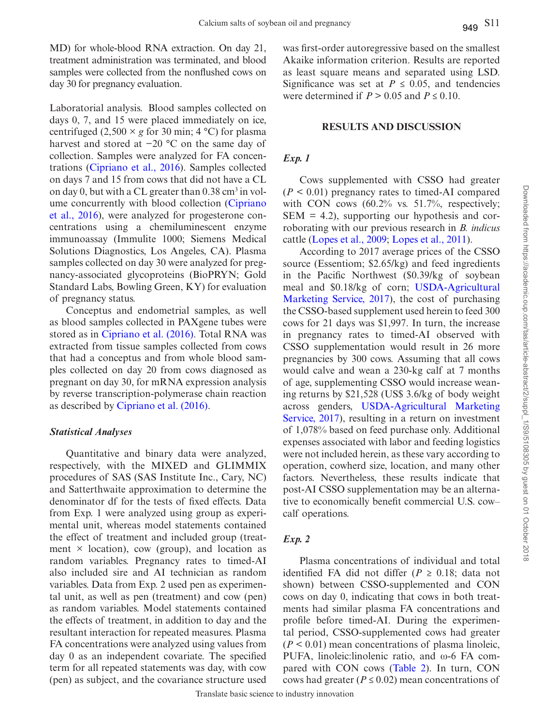MD) for whole-blood RNA extraction. On day 21, treatment administration was terminated, and blood samples were collected from the nonflushed cows on day 30 for pregnancy evaluation.

Laboratorial analysis. Blood samples collected on days 0, 7, and 15 were placed immediately on ice, centrifuged  $(2,500 \times g$  for 30 min; 4 °C) for plasma harvest and stored at −20 °C on the same day of collection. Samples were analyzed for FA concentrations ([Cipriano et al., 2016\)](#page-4-0). Samples collected on days 7 and 15 from cows that did not have a CL on day 0, but with a CL greater than  $0.38 \text{ cm}^3$  in volume concurrently with blood collection [\(Cipriano](#page-4-0) [et al., 2016](#page-4-0)), were analyzed for progesterone concentrations using a chemiluminescent enzyme immunoassay (Immulite 1000; Siemens Medical Solutions Diagnostics, Los Angeles, CA). Plasma samples collected on day 30 were analyzed for pregnancy-associated glycoproteins (BioPRYN; Gold Standard Labs, Bowling Green, KY) for evaluation of pregnancy status.

Conceptus and endometrial samples, as well as blood samples collected in PAXgene tubes were stored as in [Cipriano et al. \(2016\)](#page-4-0). Total RNA was extracted from tissue samples collected from cows that had a conceptus and from whole blood samples collected on day 20 from cows diagnosed as pregnant on day 30, for mRNA expression analysis by reverse transcription-polymerase chain reaction as described by [Cipriano et al. \(2016\).](#page-4-0)

#### *Statistical Analyses*

Quantitative and binary data were analyzed, respectively, with the MIXED and GLIMMIX procedures of SAS (SAS Institute Inc., Cary, NC) and Satterthwaite approximation to determine the denominator df for the tests of fixed effects. Data from Exp. 1 were analyzed using group as experimental unit, whereas model statements contained the effect of treatment and included group (treatment  $\times$  location), cow (group), and location as random variables. Pregnancy rates to timed-AI also included sire and AI technician as random variables. Data from Exp. 2 used pen as experimental unit, as well as pen (treatment) and cow (pen) as random variables. Model statements contained the effects of treatment, in addition to day and the resultant interaction for repeated measures. Plasma FA concentrations were analyzed using values from day 0 as an independent covariate. The specified term for all repeated statements was day, with cow (pen) as subject, and the covariance structure used was first-order autoregressive based on the smallest Akaike information criterion. Results are reported as least square means and separated using LSD. Significance was set at  $P \leq 0.05$ , and tendencies were determined if  $P > 0.05$  and  $P \le 0.10$ .

#### **RESULTS AND DISCUSSION**

## *Exp. 1*

Cows supplemented with CSSO had greater  $(P < 0.01)$  pregnancy rates to timed-AI compared with CON cows  $(60.2\%$  vs. 51.7%, respectively;  $SEM = 4.2$ , supporting our hypothesis and corroborating with our previous research in *B. indicus* cattle ([Lopes et al., 2009](#page-4-1); [Lopes et al., 2011\)](#page-4-2).

According to 2017 average prices of the CSSO source (Essentiom; \$2.65/kg) and feed ingredients in the Pacific Northwest (\$0.39/kg of soybean meal and \$0.18/kg of corn; [USDA-Agricultural](#page-4-8) [Marketing Service, 2017](#page-4-8)), the cost of purchasing the CSSO-based supplement used herein to feed 300 cows for 21 days was \$1,997. In turn, the increase in pregnancy rates to timed-AI observed with CSSO supplementation would result in 26 more pregnancies by 300 cows. Assuming that all cows would calve and wean a 230-kg calf at 7 months of age, supplementing CSSO would increase weaning returns by \$21,528 (US\$ 3.6/kg of body weight across genders, [USDA-Agricultural Marketing](#page-4-8) [Service, 2017](#page-4-8)), resulting in a return on investment of 1,078% based on feed purchase only. Additional expenses associated with labor and feeding logistics were not included herein, as these vary according to operation, cowherd size, location, and many other factors. Nevertheless, these results indicate that post-AI CSSO supplementation may be an alternative to economically benefit commercial U.S. cow– calf operations.

## *Exp. 2*

Plasma concentrations of individual and total identified FA did not differ ( $P \ge 0.18$ ; data not shown) between CSSO-supplemented and CON cows on day 0, indicating that cows in both treatments had similar plasma FA concentrations and profile before timed-AI. During the experimental period, CSSO-supplemented cows had greater  $(P < 0.01)$  mean concentrations of plasma linoleic, PUFA, linoleic:linolenic ratio, and ω-6 FA compared with CON cows (Table 2). In turn, CON cows had greater ( $P \le 0.02$ ) mean concentrations of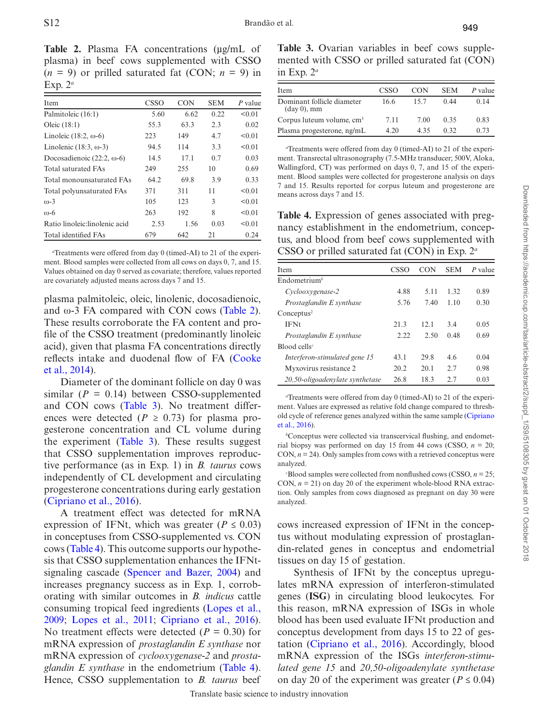949

<span id="page-3-0"></span>Table 2. Plasma FA concentrations (µg/mL of plasma) in beef cows supplemented with CSSO  $(n = 9)$  or prilled saturated fat (CON;  $n = 9$ ) in Exp. 2*<sup>a</sup>*

| Item                              | <b>CSSO</b> | <b>CON</b> | <b>SEM</b> | P value |
|-----------------------------------|-------------|------------|------------|---------|
| Palmitoleic (16:1)                | 5.60        | 6.62       | 0.22       | < 0.01  |
| Oleic $(18:1)$                    | 55.3        | 63.3       | 2.3        | 0.02    |
| Linoleic $(18:2, \omega$ -6)      | 223         | 149        | 4.7        | < 0.01  |
| Linolenic $(18:3, \omega-3)$      | 94.5        | 114        | 3.3        | < 0.01  |
| Docosadienoic $(22:2, \omega$ -6) | 14.5        | 17.1       | 0.7        | 0.03    |
| <b>Total saturated FAs</b>        | 249         | 255        | 10         | 0.69    |
| Total monounsaturated FAs         | 64.2        | 69.8       | 3.9        | 0.33    |
| Total polyunsaturated FAs         | 371         | 311        | 11         | < 0.01  |
| $\omega$ -3                       | 105         | 123        | 3          | < 0.01  |
| $(D-6)$                           | 263         | 192        | 8          | < 0.01  |
| Ratio linoleic: linolenic acid    | 2.53        | 1.56       | 0.03       | < 0.01  |
| Total identified FAs              | 679         | 642        | 21         | 0.24    |

*a* Treatments were offered from day 0 (timed-AI) to 21 of the experiment. Blood samples were collected from all cows on days 0, 7, and 15. Values obtained on day 0 served as covariate; therefore, values reported are covariately adjusted means across days 7 and 15.

plasma palmitoleic, oleic, linolenic, docosadienoic, and  $\omega$ -3 FA compared with CON cows ([Table 2](#page-3-0)). These results corroborate the FA content and profile of the CSSO treatment (predominantly linoleic acid), given that plasma FA concentrations directly reflects intake and duodenal flow of FA [\(Cooke](#page-4-3) [et al., 2014](#page-4-3)).

Diameter of the dominant follicle on day 0 was similar  $(P = 0.14)$  between CSSO-supplemented and CON cows (Table 3). No treatment differences were detected ( $P \ge 0.73$ ) for plasma progesterone concentration and CL volume during the experiment ([Table 3\)](#page-3-1). These results suggest that CSSO supplementation improves reproductive performance (as in Exp. 1) in *B. taurus* cows independently of CL development and circulating progesterone concentrations during early gestation ([Cipriano et al., 2016\)](#page-4-0).

A treatment effect was detected for mRNA expression of IFNt, which was greater ( $P \le 0.03$ ) in conceptuses from CSSO-supplemented vs. CON cows [\(Table 4](#page-3-2)). This outcome supports our hypothesis that CSSO supplementation enhances the IFNtsignaling cascade ([Spencer and Bazer, 2004\)](#page-4-4) and increases pregnancy success as in Exp. 1, corroborating with similar outcomes in *B. indicus* cattle consuming tropical feed ingredients [\(Lopes et al.,](#page-4-1) [2009](#page-4-1); [Lopes et al., 2011;](#page-4-2) [Cipriano et al., 2016](#page-4-0)). No treatment effects were detected  $(P = 0.30)$  for mRNA expression of *prostaglandin E synthase* nor mRNA expression of *cyclooxygenase-2* and *prostaglandin E synthase* in the endometrium [\(Table 4](#page-3-2)). Hence, CSSO supplementation to *B. taurus* beef

<span id="page-3-1"></span>**Table 3.** Ovarian variables in beef cows supplemented with CSSO or prilled saturated fat (CON) in Exp. 2*<sup>a</sup>*

| Item                                                 | CSSO | <b>CON</b> | <b>SEM</b> | P value |  |
|------------------------------------------------------|------|------------|------------|---------|--|
| Dominant follicle diameter<br>$(\text{day } 0)$ , mm | 16.6 | 15.7       | 0.44       | 0.14    |  |
| Corpus luteum volume, cm <sup>3</sup>                | 7.11 | 7.00       | 0.35       | 0.83    |  |
| Plasma progesterone, ng/mL                           | 4.20 | 435        | 0.32       | 0.73    |  |

*a* Treatments were offered from day 0 (timed-AI) to 21 of the experiment. Transrectal ultrasonography (7.5-MHz transducer; 500V, Aloka, Wallingford, CT) was performed on days 0, 7, and 15 of the experiment. Blood samples were collected for progesterone analysis on days 7 and 15. Results reported for corpus luteum and progesterone are means across days 7 and 15.

<span id="page-3-2"></span>**Table 4.** Expression of genes associated with pregnancy establishment in the endometrium, conceptus, and blood from beef cows supplemented with CSSO or prilled saturated fat (CON) in Exp. 2*<sup>a</sup>*

| Item                                     | CSSO | <b>CON</b> | <b>SEM</b> | P value |
|------------------------------------------|------|------------|------------|---------|
| Endometrium <sup>b</sup>                 |      |            |            |         |
| Cyclooxygenase-2                         | 4.88 | 5.11       | 1.32       | 0.89    |
| Prostaglandin E synthase                 | 5.76 | 7.40       | 1.10       | 0.30    |
| Conceptus <sup>2</sup>                   |      |            |            |         |
| <b>IFNt</b>                              | 21.3 | 12.1       | 34         | 0.05    |
| Prostaglandin E synthase                 | 2.22 | 2.50       | 0.48       | 0.69    |
| $B$ lood cells <sup><math>c</math></sup> |      |            |            |         |
| Interferon-stimulated gene 15            | 43.1 | 29.8       | 4.6        | 0.04    |
| Myxovirus resistance 2                   | 20.2 | 20.1       | 2.7        | 0.98    |
| 20,50-oligoadenylate synthetase          | 26.8 | 18.3       | 2.7        | 0.03    |

*a* Treatments were offered from day 0 (timed-AI) to 21 of the experiment. Values are expressed as relative fold change compared to threshold cycle of reference genes analyzed within the same sample ([Cipriano](#page-4-0)  [et al., 2016\)](#page-4-0).

*b* Conceptus were collected via transcervical flushing, and endometrial biopsy was performed on day 15 from 44 cows (CSSO,  $n = 20$ ; CON,  $n = 24$ ). Only samples from cows with a retrieved conceptus were analyzed.

*c*Blood samples were collected from nonflushed cows (CSSO,  $n = 25$ ; CON,  $n = 21$ ) on day 20 of the experiment whole-blood RNA extraction. Only samples from cows diagnosed as pregnant on day 30 were analyzed.

cows increased expression of IFNt in the conceptus without modulating expression of prostaglandin-related genes in conceptus and endometrial tissues on day 15 of gestation.

Synthesis of IFNt by the conceptus upregulates mRNA expression of interferon-stimulated genes (**ISG**) in circulating blood leukocytes. For this reason, mRNA expression of ISGs in whole blood has been used evaluate IFNt production and conceptus development from days 15 to 22 of gestation ([Cipriano et al., 2016](#page-4-0)). Accordingly, blood mRNA expression of the ISGs *interferon-stimulated gene 15* and *20,50-oligoadenylate synthetase* on day 20 of the experiment was greater ( $P \le 0.04$ )